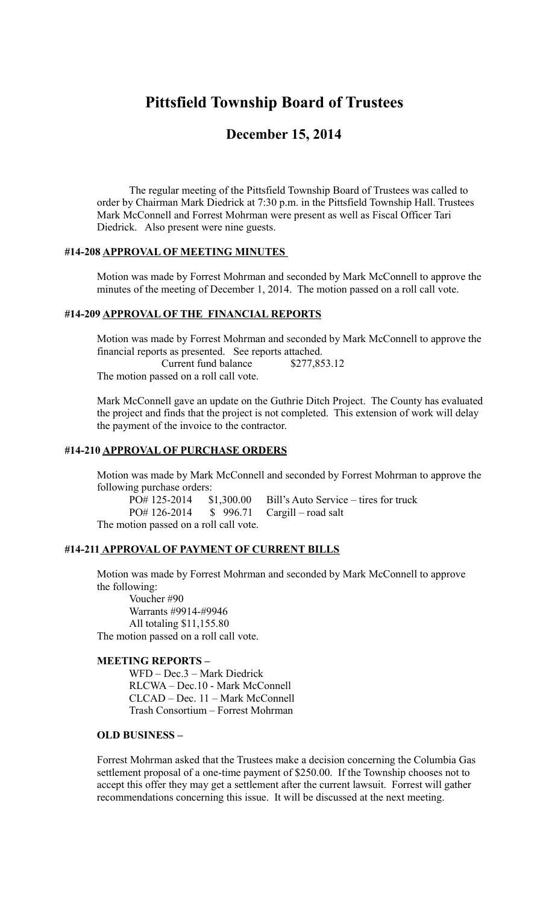# **Pittsfield Township Board of Trustees**

## **December 15, 2014**

The regular meeting of the Pittsfield Township Board of Trustees was called to order by Chairman Mark Diedrick at 7:30 p.m. in the Pittsfield Township Hall. Trustees Mark McConnell and Forrest Mohrman were present as well as Fiscal Officer Tari Diedrick. Also present were nine guests.

#### **#14-208 APPROVAL OF MEETING MINUTES**

Motion was made by Forrest Mohrman and seconded by Mark McConnell to approve the minutes of the meeting of December 1, 2014. The motion passed on a roll call vote.

#### **#14-209 APPROVAL OF THE FINANCIAL REPORTS**

Motion was made by Forrest Mohrman and seconded by Mark McConnell to approve the financial reports as presented. See reports attached. Current fund balance \$277,853.12 The motion passed on a roll call vote.

Mark McConnell gave an update on the Guthrie Ditch Project. The County has evaluated the project and finds that the project is not completed. This extension of work will delay the payment of the invoice to the contractor.

## **#14-210 APPROVAL OF PURCHASE ORDERS**

Motion was made by Mark McConnell and seconded by Forrest Mohrman to approve the following purchase orders:

PO# 125-2014 \$1,300.00 Bill's Auto Service – tires for truck PO# 126-2014 \$ 996.71 Cargill – road salt The motion passed on a roll call vote.

#### **#14-211 APPROVAL OF PAYMENT OF CURRENT BILLS**

Motion was made by Forrest Mohrman and seconded by Mark McConnell to approve the following:

Voucher #90 Warrants #9914-#9946 All totaling \$11,155.80 The motion passed on a roll call vote.

#### **MEETING REPORTS –**

 WFD – Dec.3 – Mark Diedrick RLCWA – Dec.10 - Mark McConnell CLCAD – Dec. 11 – Mark McConnell Trash Consortium – Forrest Mohrman

#### **OLD BUSINESS –**

Forrest Mohrman asked that the Trustees make a decision concerning the Columbia Gas settlement proposal of a one-time payment of \$250.00. If the Township chooses not to accept this offer they may get a settlement after the current lawsuit. Forrest will gather recommendations concerning this issue. It will be discussed at the next meeting.